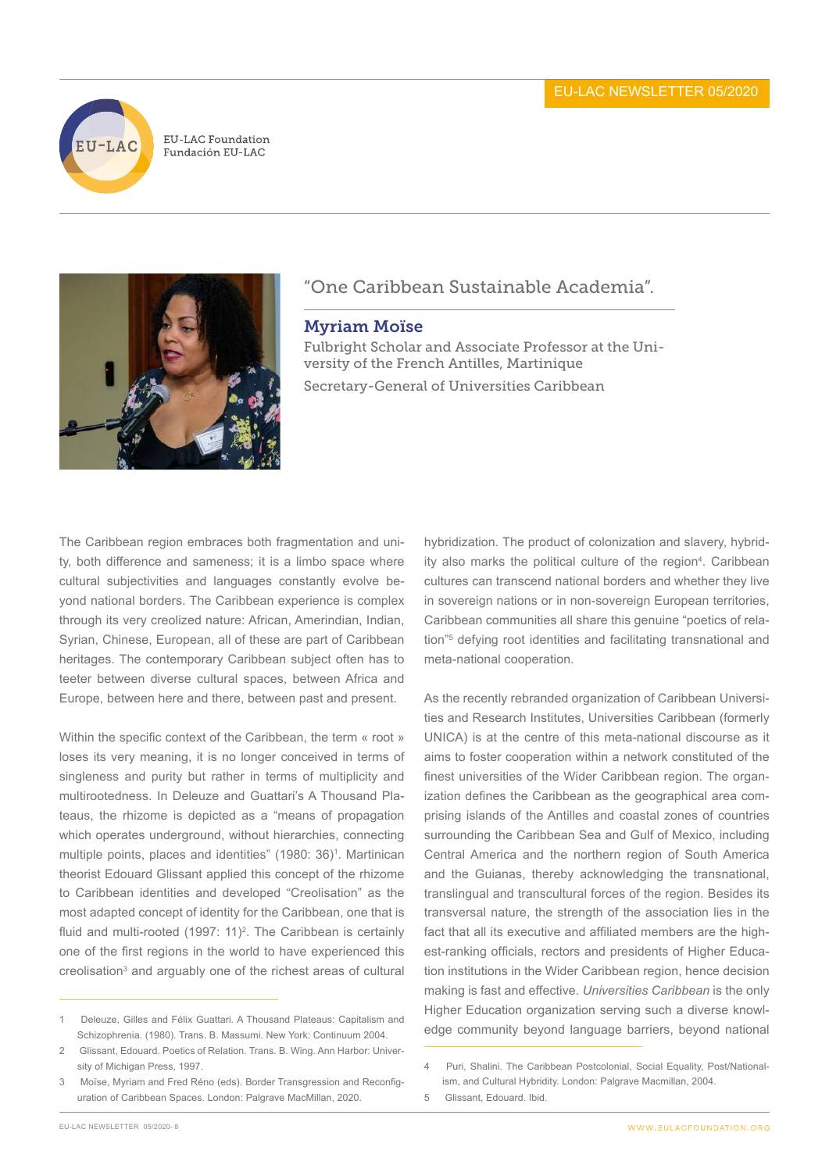

**EU-LAC Foundation** Fundación EU-LAC



## "One Caribbean Sustainable Academia".

## Myriam Moïse

Fulbright Scholar and Associate Professor at the University of the French Antilles, Martinique Secretary-General of Universities Caribbean

The Caribbean region embraces both fragmentation and unity, both difference and sameness; it is a limbo space where cultural subjectivities and languages constantly evolve beyond national borders. The Caribbean experience is complex through its very creolized nature: African, Amerindian, Indian, Syrian, Chinese, European, all of these are part of Caribbean heritages. The contemporary Caribbean subject often has to teeter between diverse cultural spaces, between Africa and Europe, between here and there, between past and present.

Within the specific context of the Caribbean, the term « root » loses its very meaning, it is no longer conceived in terms of singleness and purity but rather in terms of multiplicity and multirootedness. In Deleuze and Guattari's A Thousand Plateaus, the rhizome is depicted as a "means of propagation which operates underground, without hierarchies, connecting multiple points, places and identities" (1980: 36)<sup>1</sup>. Martinican theorist Edouard Glissant applied this concept of the rhizome to Caribbean identities and developed "Creolisation" as the most adapted concept of identity for the Caribbean, one that is fluid and multi-rooted (1997: 11)<sup>2</sup>. The Caribbean is certainly one of the first regions in the world to have experienced this creolisation<sup>3</sup> and arguably one of the richest areas of cultural hybridization. The product of colonization and slavery, hybridity also marks the political culture of the region<sup>4</sup>. Caribbean cultures can transcend national borders and whether they live in sovereign nations or in non-sovereign European territories, Caribbean communities all share this genuine "poetics of relation"5 defying root identities and facilitating transnational and meta-national cooperation.

As the recently rebranded organization of Caribbean Universities and Research Institutes, Universities Caribbean (formerly UNICA) is at the centre of this meta-national discourse as it aims to foster cooperation within a network constituted of the finest universities of the Wider Caribbean region. The organization defines the Caribbean as the geographical area comprising islands of the Antilles and coastal zones of countries surrounding the Caribbean Sea and Gulf of Mexico, including Central America and the northern region of South America and the Guianas, thereby acknowledging the transnational, translingual and transcultural forces of the region. Besides its transversal nature, the strength of the association lies in the fact that all its executive and affiliated members are the highest-ranking officials, rectors and presidents of Higher Education institutions in the Wider Caribbean region, hence decision making is fast and effective. *Universities Caribbean* is the only Higher Education organization serving such a diverse knowledge community beyond language barriers, beyond national

<sup>1</sup> Deleuze, Gilles and Félix Guattari. A Thousand Plateaus: Capitalism and Schizophrenia. (1980). Trans. B. Massumi. New York: Continuum 2004.

<sup>2</sup> Glissant, Edouard. Poetics of Relation. Trans. B. Wing. Ann Harbor: University of Michigan Press, 1997.

<sup>3</sup> Moïse, Myriam and Fred Réno (eds). Border Transgression and Reconfiguration of Caribbean Spaces. London: Palgrave MacMillan, 2020.

<sup>4</sup> Puri, Shalini. The Caribbean Postcolonial, Social Equality, Post/Nationalism, and Cultural Hybridity. London: Palgrave Macmillan, 2004.

<sup>5</sup> Glissant, Edouard. Ibid.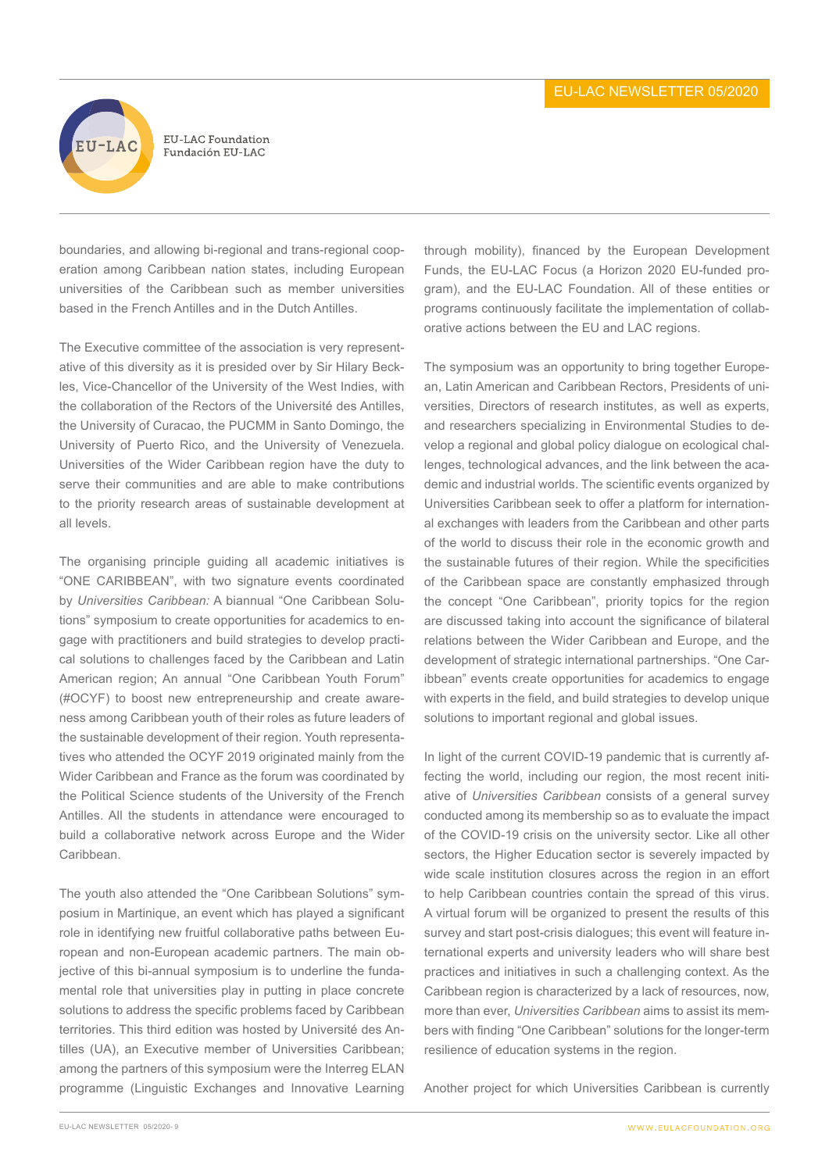

boundaries, and allowing bi-regional and trans-regional cooperation among Caribbean nation states, including European universities of the Caribbean such as member universities based in the French Antilles and in the Dutch Antilles.

The Executive committee of the association is very representative of this diversity as it is presided over by Sir Hilary Beckles, Vice-Chancellor of the University of the West Indies, with the collaboration of the Rectors of the Université des Antilles, the University of Curacao, the PUCMM in Santo Domingo, the University of Puerto Rico, and the University of Venezuela. Universities of the Wider Caribbean region have the duty to serve their communities and are able to make contributions to the priority research areas of sustainable development at all levels.

The organising principle guiding all academic initiatives is "ONE CARIBBEAN", with two signature events coordinated by *Universities Caribbean:* A biannual "One Caribbean Solutions" symposium to create opportunities for academics to engage with practitioners and build strategies to develop practical solutions to challenges faced by the Caribbean and Latin American region; An annual "One Caribbean Youth Forum" (#OCYF) to boost new entrepreneurship and create awareness among Caribbean youth of their roles as future leaders of the sustainable development of their region. Youth representatives who attended the OCYF 2019 originated mainly from the Wider Caribbean and France as the forum was coordinated by the Political Science students of the University of the French Antilles. All the students in attendance were encouraged to build a collaborative network across Europe and the Wider Caribbean.

The youth also attended the "One Caribbean Solutions" symposium in Martinique, an event which has played a significant role in identifying new fruitful collaborative paths between European and non-European academic partners. The main objective of this bi-annual symposium is to underline the fundamental role that universities play in putting in place concrete solutions to address the specific problems faced by Caribbean territories. This third edition was hosted by Université des Antilles (UA), an Executive member of Universities Caribbean; among the partners of this symposium were the Interreg ELAN programme (Linguistic Exchanges and Innovative Learning

through mobility), financed by the European Development Funds, the EU-LAC Focus (a Horizon 2020 EU-funded program), and the EU-LAC Foundation. All of these entities or programs continuously facilitate the implementation of collaborative actions between the EU and LAC regions.

The symposium was an opportunity to bring together European, Latin American and Caribbean Rectors, Presidents of universities, Directors of research institutes, as well as experts, and researchers specializing in Environmental Studies to develop a regional and global policy dialogue on ecological challenges, technological advances, and the link between the academic and industrial worlds. The scientific events organized by Universities Caribbean seek to offer a platform for international exchanges with leaders from the Caribbean and other parts of the world to discuss their role in the economic growth and the sustainable futures of their region. While the specificities of the Caribbean space are constantly emphasized through the concept "One Caribbean", priority topics for the region are discussed taking into account the significance of bilateral relations between the Wider Caribbean and Europe, and the development of strategic international partnerships. "One Caribbean" events create opportunities for academics to engage with experts in the field, and build strategies to develop unique solutions to important regional and global issues.

In light of the current COVID-19 pandemic that is currently affecting the world, including our region, the most recent initiative of *Universities Caribbean* consists of a general survey conducted among its membership so as to evaluate the impact of the COVID-19 crisis on the university sector. Like all other sectors, the Higher Education sector is severely impacted by wide scale institution closures across the region in an effort to help Caribbean countries contain the spread of this virus. A virtual forum will be organized to present the results of this survey and start post-crisis dialogues; this event will feature international experts and university leaders who will share best practices and initiatives in such a challenging context. As the Caribbean region is characterized by a lack of resources, now, more than ever, *Universities Caribbean* aims to assist its members with finding "One Caribbean" solutions for the longer-term resilience of education systems in the region.

Another project for which Universities Caribbean is currently